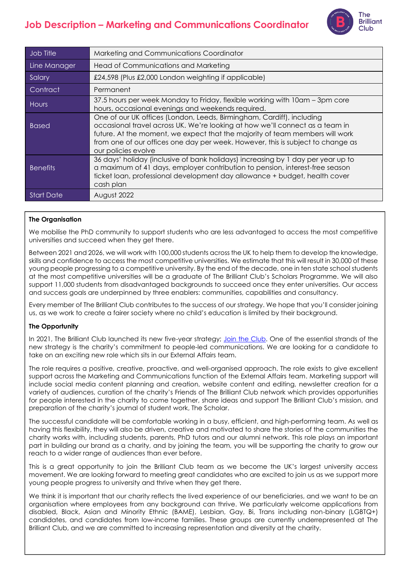# **Job Description – Marketing and Communications Coordinator**



| Job Title         | Marketing and Communications Coordinator                                                                                                                                                                                                                                                                                                        |
|-------------------|-------------------------------------------------------------------------------------------------------------------------------------------------------------------------------------------------------------------------------------------------------------------------------------------------------------------------------------------------|
| Line Manager      | Head of Communications and Marketing                                                                                                                                                                                                                                                                                                            |
| Salary            | £24,598 (Plus £2,000 London weighting if applicable)                                                                                                                                                                                                                                                                                            |
| Contract          | Permanent                                                                                                                                                                                                                                                                                                                                       |
| Hours             | 37.5 hours per week Monday to Friday, flexible working with 10am – 3pm core<br>hours, occasional evenings and weekends required.                                                                                                                                                                                                                |
| <b>Based</b>      | One of our UK offices (London, Leeds, Birmingham, Cardiff), including<br>occasional travel across UK. We're looking at how we'll connect as a team in<br>future. At the moment, we expect that the majority of team members will work<br>from one of our offices one day per week. However, this is subject to change as<br>our policies evolve |
| <b>Benefits</b>   | 36 days' holiday (inclusive of bank holidays) increasing by 1 day per year up to<br>a maximum of 41 days, employer contribution to pension, interest-free season<br>ticket loan, professional development day allowance + budget, health cover<br>cash plan                                                                                     |
| <b>Start Date</b> | August 2022                                                                                                                                                                                                                                                                                                                                     |

# **The Organisation**

We mobilise the PhD community to support students who are less advantaged to access the most competitive universities and succeed when they get there.

Between 2021 and 2026, we will work with 100,000 students across the UK to help them to develop the knowledge, skills and confidence to access the most competitive universities. We estimate that this will result in 30,000 of these young people progressing to a competitive university. By the end of the decade, one in ten state school students at the most competitive universities will be a graduate of The Brilliant Club's Scholars Programme. We will also support 11,000 students from disadvantaged backgrounds to succeed once they enter universities. Our access and success goals are underpinned by three enablers: communities, capabilities and consultancy.

Every member of The Brilliant Club contributes to the success of our strategy. We hope that you'll consider joining us, as we work to create a fairer society where no child's education is limited by their background.

## **The Opportunity**

In 2021, The Brilliant Club launched its new five-year strategy; [Join the Club.](https://thebrilliantclub.org/wp-content/uploads/2021/09/Join-the-Club-2021-26.pdf) One of the essential strands of the new strategy is the charity's commitment to people-led communications. We are looking for a candidate to take on an exciting new role which sits in our External Affairs team.

The role requires a positive, creative, proactive, and well-organised approach. The role exists to give excellent support across the Marketing and Communications function of the External Affairs team. Marketing support will include social media content planning and creation, website content and editing, newsletter creation for a variety of audiences, curation of the charity's Friends of The Brilliant Club network which provides opportunities for people interested in the charity to come together, share ideas and support The Brilliant Club's mission, and preparation of the charity's journal of student work, The Scholar.

The successful candidate will be comfortable working in a busy, efficient, and high-performing team. As well as having this flexibility, they will also be driven, creative and motivated to share the stories of the communities the charity works with, including students, parents, PhD tutors and our alumni network. This role plays an important part in building our brand as a charity, and by joining the team, you will be supporting the charity to grow our reach to a wider range of audiences than ever before.

This is a great opportunity to join the Brilliant Club team as we become the UK's largest university access movement. We are looking forward to meeting great candidates who are excited to join us as we support more young people progress to university and thrive when they get there.

We think it is important that our charity reflects the lived experience of our beneficiaries, and we want to be an organisation where employees from any background can thrive. We particularly welcome applications from disabled, Black, Asian and Minority Ethnic (BAME), Lesbian, Gay, Bi, Trans including non-binary (LGBTQ+) candidates, and candidates from low-income families. These groups are currently underrepresented at The Brilliant Club, and we are committed to increasing representation and diversity at the charity.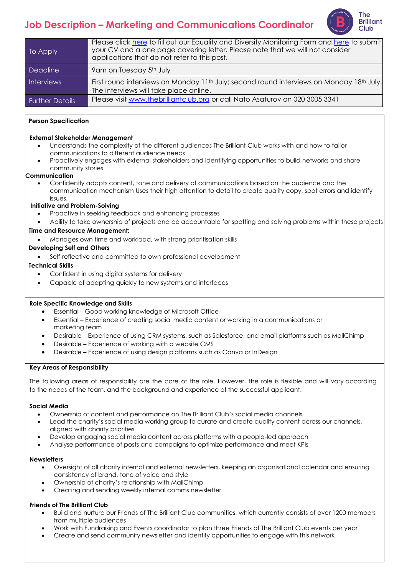# **Job Description – Marketing and Communications Coordinator**



| To Apply               | Please click here to fill out our Equality and Diversity Monitoring Form and here to submit<br>your CV and a one page covering letter. Please note that we will not consider<br>applications that do not refer to this post. |
|------------------------|------------------------------------------------------------------------------------------------------------------------------------------------------------------------------------------------------------------------------|
| <b>Deadline</b>        | 9 am on Tuesday 5 <sup>th</sup> July                                                                                                                                                                                         |
| <b>Interviews</b>      | First round interviews on Monday 11 <sup>th</sup> July; second round interviews on Monday 18 <sup>th</sup> July.<br>The interviews will take place online.                                                                   |
| <b>Further Details</b> | Please visit www.thebrilliantclub.org or call Nato Asaturov on 020 3005 3341                                                                                                                                                 |

## **Person Specification**

#### **External Stakeholder Management**

- Understands the complexity of the different audiences The Brilliant Club works with and how to tailor communications to different audience needs
- Proactively engages with external stakeholders and identifying opportunities to build networks and share community stories

#### **Communication**

• Confidently adapts content, tone and delivery of communications based on the audience and the communication mechanism Uses their high attention to detail to create quality copy, spot errors and identify issues.

## **Initiative and Problem-Solving**

- Proactive in seeking feedback and enhancing processes
- Ability to take ownership of projects and be accountable for spotting and solving problems within these projects

## **Time and Resource Management:**

• Manages own time and workload, with strong prioritisation skills

## **Developing Self and Others**

Self-reflective and committed to own professional development

## **Technical Skills**

- Confident in using digital systems for delivery
- Capable of adapting quickly to new systems and interfaces

#### **Role Specific Knowledge and Skills**

- Essential Good working knowledge of Microsoft Office
- Essential Experience of creating social media content or working in a communications or marketing team
- Desirable Experience of using CRM systems, such as Salesforce, and email platforms such as MailChimp
- Desirable Experience of working with a website CMS
- Desirable Experience of using design platforms such as Canva or InDesign

#### **Key Areas of Responsibility**

The following areas of responsibility are the core of the role. However, the role is flexible and will vary according to the needs of the team, and the background and experience of the successful applicant.

#### **Social Media**

- Ownership of content and performance on The Brilliant Club's social media channels
- Lead the charity's social media working group to curate and create quality content across our channels, aligned with charity priorities
- Develop engaging social media content across platforms with a people-led approach
- Analyse performance of posts and campaigns to optimize performance and meet KPIs

#### **Newsletters**

- Oversight of all charity internal and external newsletters, keeping an organisational calendar and ensuring consistency of brand, tone of voice and style
- Ownership of charity's relationship with MailChimp
- Creating and sending weekly internal comms newsletter

## **Friends of The Brilliant Club**

- Build and nurture our Friends of The Brilliant Club communities, which currently consists of over 1200 members from multiple audiences
- Work with Fundraising and Events coordinator to plan three Friends of The Brilliant Club events per year
- Create and send community newsletter and identify opportunities to engage with this network